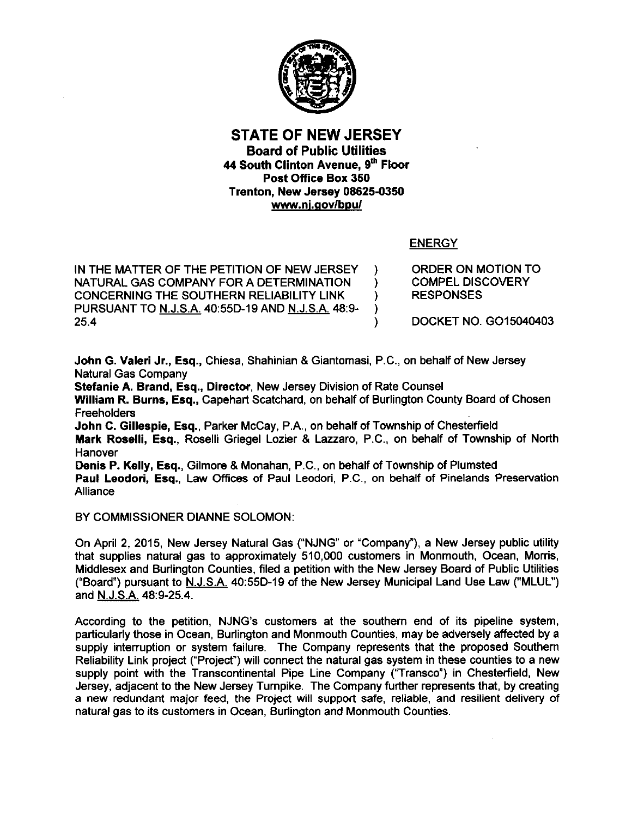

# STATE OF NEW JERSEY Board of Public Utilities 44 South Clinton Avenue, 9th Floor Post Office Box 350 Trenton, New Jersey 08625-0350 www.nj.gov/bpu/

# ENERGY

IN THE MATTER OF THE PETITION OF NEW JERSEY NATURAL GAS COMPANY FOR A DETERMINATION ) CONCERNING THE SOUTHERN RELIABILITY LINK (a) PURSUANT TO N.J.SA 40:550-19 AND N.J.S.A. 48:9- )  $25.4$  ) ORDER ON MOTION TO COMPEL DISCOVERY RESPONSES

DOCKET NO. G015040403

John G. Valeri Jr., Esq., Chiesa, Shahinian & Giantomasi, P.C., on behalf of New Jersey Natural Gas Company

Stefanie A. Brand, Esq., Director, New Jersey Division of Rate Counsel William R. Burns, Esq., Capehart Scatchard, on behalf of Burlington County Board of Chosen **Freeholders** John C. Gillespie, Esq., Parker McCay, P.A., on behalf of Township of Chesterfield

Mark Roselli, Esq., Roselli Griegel Lozier & Lazzaro, P.C., on behalf of Township of North Hanover

Denis P. Kelly, Esq., Gilmore & Monahan, P.C., on behalf of Township of Plumsted Paul Leodori, Esq., Law Offices of Paul Leodori, P.C., on behalf of Pinelands Preservation **Alliance** 

BY COMMISSIONER DIANNE SOLOMON:

On April 2, 2015, New Jersey Natural Gas ("NJNG" or "Company"), a New Jersey public utility that supplies natural gas to approximately 510,000 customers in Monmouth, Ocean, Morris, Middlesex and Burlington Counties, filed a petition with the New Jersey Board of Public Utilities ("Board") pursuant to N.J.S.A. 40:55D-19 of the New Jersey Municipal Land Use Law ("MLUL") and N.J.S.A. 48:9-25.4.

According to the petition, NJNG's customers at the southern end of its pipeline system, particularly those in Ocean, Burlington and Monmouth Counties, may be adversely affected by a supply interruption or system failure. The Company represents that the proposed Southern Reliability Link project ("Project") will connect the natural gas system in these counties to a new supply point with the Transcontinental Pipe Line Company ("Transco") in Chesterfield, New Jersey, adjacent to the New Jersey Turnpike. The Company further represents that, by creating a new redundant major feed, the Project will support safe, reliable, and resilient delivery of natural gas to its customers in Ocean, Burlington and Monmouth Counties.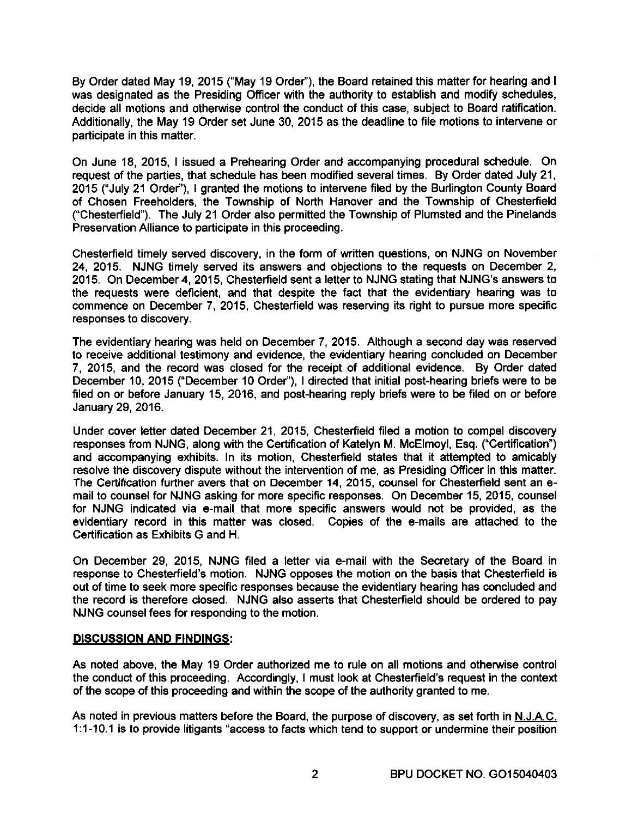By Order dated May 19, 2015 ("May 19 Order"), the Board retained this matter for hearing and I was designated as the Presiding Officer with the authority to establish and modify schedules, decide all motions and otherwise control the conduct of this case, subject to Board ratification. Additionally, the May 19 Order set June 30, 2015 as the deadline to file motions to intervene or participate in this matter.

On June 18, 2015, I issued a Prehearing Order and accompanying procedural schedule. On request of the parties, that schedule has been modified several times. By Order dated July 21, 2015 ("July 21 Order"), I granted the motions to intervene filed by the Burlington County Board of Chosen Freeholders, the Township of North Hanover and the Township of Chesterfield ("Chesterfield"). The July 21 Order also permitted the Township of Plumsted and the Pinelands Preservation Alliance to participate in this proceeding.

Chesterfield timely served discovery, in the form of written questions, on NJNG on November 24, 2015. NJNG timely served its answers and objections to the requests on December 2, 2015. On December 4, 2015, Chesterfield sent a letter to NJNG stating that NJNG's answers to the requests were deficient, and that despite the fact that the evidentiary hearing was to commence on December 7, 2015, Chesterfield was reserving its right to pursue more specific responses to discovery.

The evidentiary hearing was held on December 7, 2015. Although a second day was reserved to receive additional testimony and evidence, the evidentiary hearing concluded on December 7, 2015, and the record was closed for the receipt of additional evidence. By Order dated December 10, 2015 ("December 10 Order"), I directed that initial post-hearing briefs were to be filed on or before January 15, 2016, and post-hearing reply briefs were to be filed on or before January 29, 2016.

Under cover letter dated December 21, 2015, Chesterfield filed a motion to compel discovery responses from NJNG, along with the Certification of Katelyn M. McElmoyl, Esq. ("Certification") and accompanying exhibits. In its motion, Chesterfield states that it attempted to amicably resolve the discovery dispute without the intervention of me, as Presiding Officer in this matter. The Certification further avers that on December 14, 2015, counsel for Chesterfield sent an email to counsel for NJNG asking for more specific responses. On December 15, 2015, counsel for NJNG indicated via e-mail that more specific answers would not be provided, as the evidentiary record in this matter was closed. Copies of the e-mails are attached to the Certification as Exhibits G and H.

On December 29, 2015, NJNG filed a letter via e-mail with the Secretary of the Board in response to Chesterfield's motion. NJNG opposes the motion on the basis that Chesterfield is out of time to seek more specific responses because the evidentiary hearing has concluded and the record is therefore closed. NJNG also asserts that Chesterfield should be ordered to pay NJNG counsel fees for responding to the motion.

# **DISCUSSION AND FINDINGS:**

As noted above, the May 19 Order authorized me to rule on all motions and otherwise control the conduct of this proceeding. Accordingly, I must look at Chesterfield's request in the context of the scope of this proceeding and within the scope of the authority granted to me.

As noted in previous matters before the Board, the purpose of discovery, as set forth in N.JAC. 1 :1-10.1 is to provide litigants "access to facts which tend to support or undermine their position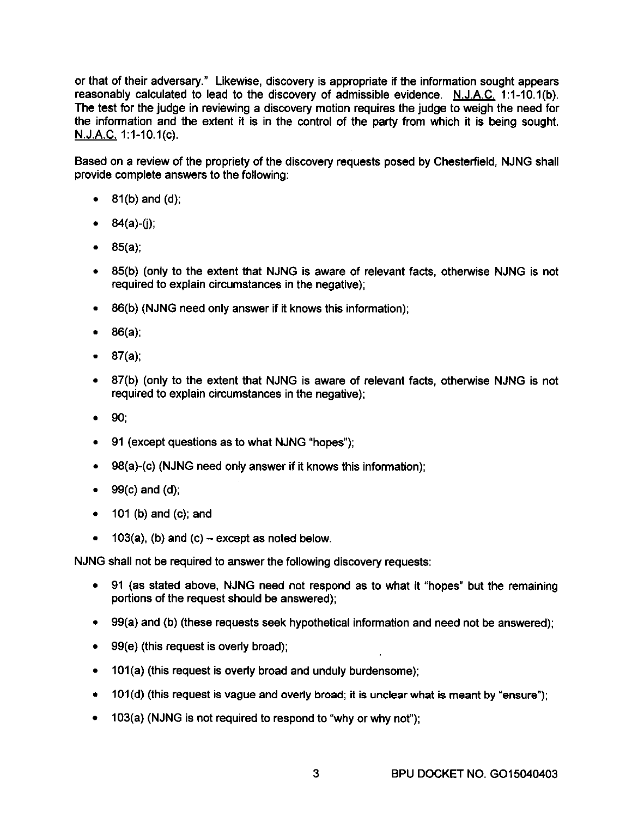or that of their adversary." Likewise, discovery is appropriate if the information sought appears reasonably calculated to lead to the discovery of admissible evidence. N.J.A.C. 1:1-10.1(b). The test for the judge in reviewing a discovery motion requires the judge to weigh the need for the information and the extent it is in the control of the party from which it is being sought. N.J.A.C.1:1-10.1(c).

Based on a review of the propriety of the discovery requests posed by Chesterfield, NJNG shall provide complete answers to the following:

- $81(b)$  and  $(d)$ ;
- $84(a)-(i)$ ;
- 85(a);
- 85(b) (only to the extent that NJNG is aware of relevant facts, otherwise NJNG is not required to explain circumstances in the negative);
- 86(b) (NJNG need only answer if it knows this information);
- 86(a);
- 87(a);
- 87(b) (only to the extent that NJNG is aware of relevant facts, otherwise NJNG is not required to explain circumstances in the negative);
- 90;
- 91 (except questions as to what NJNG "hopes");
- 98(a)-(c) (NJNG need only answer if it knows this information);
- $\bullet$  99(c) and (d);
- 101 (b) and (c); and
- $103(a)$ , (b) and (c) except as noted below.

NJNG shall not be required to answer the following discovery requests:

- 91 (as stated above, NJNG need not respond as to what it "hopes" but the remaining portions of the request should be answered);
- 99(a) and (b) (these requests seek hypothetical information and need not be answered);
- 99(e) (this request is overly broad);
- 101(a) (this request is overly broad and unduly burdensome);
- $\bullet$  101(d) (this request is vague and overly broad; it is unclear what is meant by "ensure");
- 103(a) (NJNG is not required to respond to "why or why not");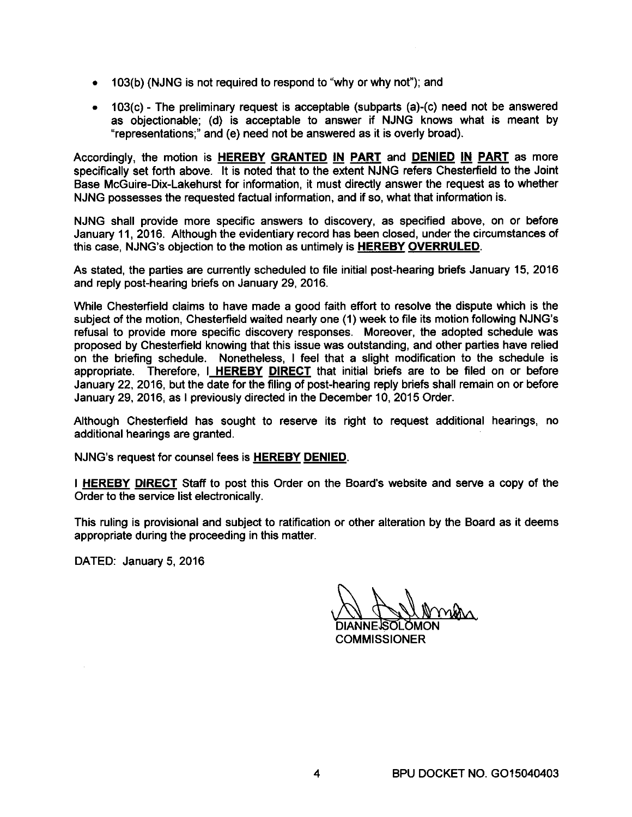- 103(b) (NJNG is not required to respond to "why or why not"); and
- 103(c) The preliminary request is acceptable (subparts (a)-(c) need not be answered as objectionable; (d) is acceptable to answer if NJNG knows what is meant by "representations;" and (e) need not be answered as it is overly broad).

Accordingly, the motion is **HEREBY GRANTED IN PART** and **DENIED IN PART** as more specifically set forth above. It is noted that to the extent NJNG refers Chesterfield to the Joint Base McGuire-Dix-Lakehurst for information, it must directly answer the request as to whether NJNG possesses the requested factual information, and if so, what that information is.

NJNG shall provide more specific answers to discovery, as specified above, on or before January 11, 2016. Although the evidentiary record has been closed, under the circumstances of this case, NJNG's objection to the motion as untimely is **HEREBY OVERRULED.** 

As stated, the parties are currently scheduled to file initial post-hearing briefs January 15, 2016 and reply post-hearing briefs on January 29, 2016.

While Chesterfield claims to have made a good faith effort to resolve the dispute which is the subject of the motion, Chesterfield waited nearly one (1) week to file its motion following NJNG's refusal to provide more specific discovery responses. Moreover, the adopted schedule was proposed by Chesterfield knowing that this issue was outstanding, and other parties have relied on the briefing schedule. Nonetheless, I feel that a slight modification to the schedule is appropriate. Therefore, I **HEREBY DIRECT** that initial briefs are to be filed on or before January 22, 2016, but the date for the filing of post-hearing reply briefs shall remain on or before January 29,2016, as I previously directed in the December 10, 2015 Order.

Although Chesterfield has sought to reserve its right to request additional hearings, no additional hearings are granted.

NJNG's request for counsel fees is **HEREBY DENIED.** 

I **HEREBY DIRECT** Staff to post this Order on the Board's website and serve a copy of the Order to the service list electronically.

This ruling is provisional and subject to ratification or other alteration by the Board as it deems appropriate during the proceeding in this matter.

DATED: January 5, 2016

A AUmmer **COMMISSIONER**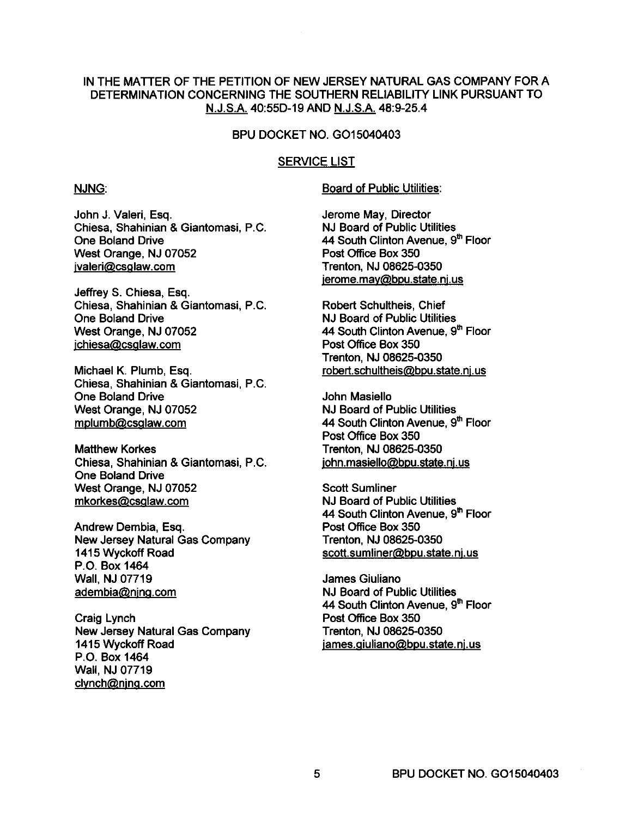# IN THE MATTER OF THE PETITION OF NEW JERSEY NATURAL GAS COMPANY FOR A DETERMINATION CONCERNING THE SOUTHERN RELIABILITY LINK PURSUANT TO N.J.SA 40:55D-19 AND N.J.S.A. 48:9-25.4

## BPU DOCKET NO. G015040403

## SERVICE LIST

#### NJNG:

Board of Public Utilities:

John J. Valeri, Esq. Chiesa, Shahinian & Giantomasi, P.C. One Boland Drive West Orange, NJ 07052 jvaleri@csglaw.com

Jeffrey S. Chiesa, Esq. Chiesa, Shahinian & Giantomasi, P.C. One Boland Drive West Orange, NJ 07052 jchiesa@csglaw.com

Michael K. Plumb, Esq. Chiesa, Shahinian & Giantomasi, P.C. One Boland Drive West Orange, NJ 07052 mplumb@csglaw.com

Matthew Korkes Chiesa, Shahinian & Giantomasi, P.C. One Boland Drive West Orange, NJ 07052 mkorkes@csglaw.com

Andrew Dembia, Esq. New Jersey Natural Gas Company 1415 Wyckoff Road P.O. Box 1464 Wall, NJ 07719 adembia@njng.com

Craig Lynch New Jersey Natural Gas Company 1415 Wyckoff Road P.O. Box 1464 Wall, NJ 07719 clynch@njng.com

Jerome May, Director NJ Board of Public Utilities 44 South Clinton Avenue, 9th Floor Post Office Box 350 Trenton, NJ 08625-0350 jerome.may@bpu.state.nj.us

Robert Schultheis, Chief NJ Board of Public Utilities 44 South Clinton Avenue, 9th Floor Post Office Box 350 Trenton, NJ 08625-0350 robert.schultheis@bpu.state.nj.us

John Masiello NJ Board of Public Utilities 44 South Clinton Avenue, 9th Floor Post Office Box 350 Trenton, NJ 08625-0350 john.masiello@bpu.state.nj.us

Scott Sumliner NJ Board of Public Utilities 44 South Clinton Avenue, 9th Floor Post Office Box 350 Trenton, NJ 08625-0350 scott.sumliner@bpu.state.nj.us

James Giuliano NJ Board of Public Utilities 44 South Clinton Avenue, 9th Floor Post Office Box 350 Trenton, NJ 08625-0350 james.giuliano@bpu.state.nj.us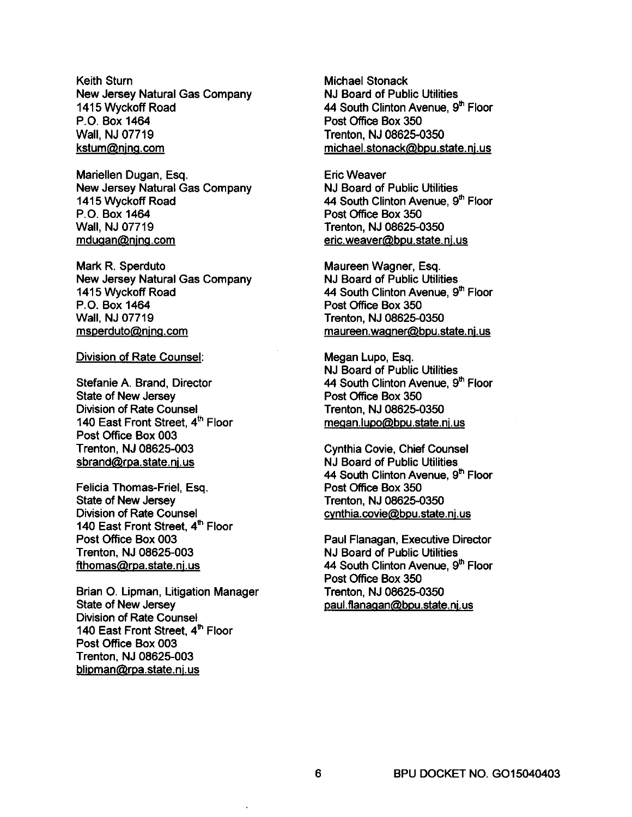Keith Sturn New Jersey Natural Gas Company 1415 Wyckoff Road P.O. Box 1464 Wall, NJ 07719 kstum@njng.com

Mariellen Dugan, Esq. New Jersey Natural Gas Company 1415 Wyckoff Road P.O. Box 1464 Wall, NJ 07719 mdugan@njng.com

Mark R. Sperduto New Jersey Natural Gas Company 1415 Wyckoff Road P.O. Box 1464 Wall, NJ 07719 msperduto@njng.com

Division of Rate Counsel:

Stefanie A. Brand, Director State of New Jersey Division of Rate Counsel 140 East Front Street,  $4<sup>th</sup>$  Floor Post Office Box 003 Trenton, NJ 08625-003 sbrand@rpa.state.nj.us

Felicia Thomas-Friel, Esq. State of New Jersey Division of Rate Counsel 140 East Front Street,  $4<sup>th</sup>$  Floor Post Office Box 003 Trenton, NJ 08625-003 fthomas@rpa.state.nj.us

Brian O. Lipman, Litigation Manager State of New Jersey Division of Rate Counsel 140 East Front Street, 4th Floor Post Office Box 003 Trenton, NJ 08625-003 blipman@rpa.state.nj.us

Michael Stonack NJ Board of Public Utilities 44 South Clinton Avenue, 9<sup>th</sup> Floor Post Office Box 350 Trenton, NJ 08625-0350 michael.stonack@bpu.state.nj.us

Eric Weaver NJ Board of Public Utilities 44 South Clinton Avenue, 9<sup>th</sup> Floor Post Office Box 350 Trenton, NJ 08625-0350 eric.weaver@bpu.state.nj.us

Maureen Wagner, Esq. NJ Board of Public Utilities 44 South Clinton Avenue, 9th Floor Post Office Box 350 Trenton, NJ 08625-0350 maureen.wagner@bpu.state.nj.us

Megan Lupo, Esq. NJ Board of Public Utilities 44 South Clinton Avenue, 9th Floor Post Office Box 350 Trenton, NJ 08625-0350 meaan.lupo@bpu.state.nj.us

Cynthia Covie, Chief Counsel NJ Board of Public Utilities 44 South Clinton Avenue, 9<sup>th</sup> Floor Post Office Box 350 Trenton, NJ 08625-0350 cynthia.covie@bpu.state.nj.us

Paul Flanagan, Executive Director NJ Board of Public Utilities 44 South Clinton Avenue, 9<sup>th</sup> Floor Post Office Box 350 Trenton, NJ 08625-0350 paul.fianagan@bpu.state.nj.us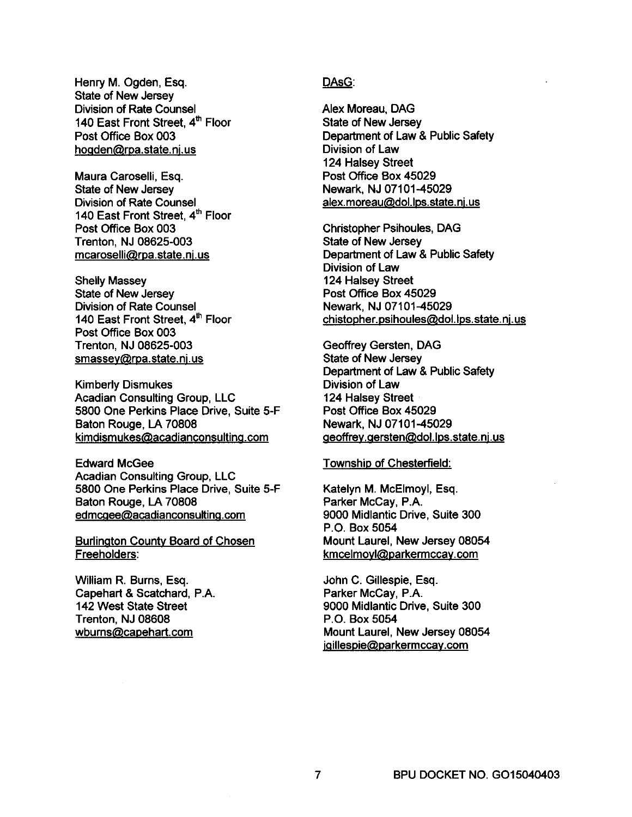Henry M. Ogden, Esq. State of New Jersey Division of Rate Counsel 140 East Front Street. 4th Floor Post Office Box 003 hogden@rpa.state.nj.us

Maura Caroselli, Esq. State of New Jersey Division of Rate Counsel 140 East Front Street, 4<sup>th</sup> Floor Post Office Box 003 Trenton, NJ 08625-003 mcaroselli@rpa.state.nj.us

Shelly Massey State of New Jersey Division of Rate Counsel 140 East Front Street, 4<sup>th</sup> Floor Post Office Box 003 Trenton, NJ 08625-003 smassey@rpa.state.nj.us

Kimberly Dismukes Acadian Consulting Group, LLC 5800 One Perkins Place Drive, Suite 5-F Baton Rouge, LA 70808 kimdismukes@acadianconsulting.com

Edward McGee Acadian Consulting Group, LLC 5800 One Perkins Place Drive, Suite 5-F Baton Rouge, LA 70808 edmcgee@acadianconsulting.com

Burlington County Board of Chosen Freeholders:

William R. Burns, Esq. Capehart & Scatchard, P.A. 142 West State Street Trenton, NJ 08608 wburns@capehart.com

# DAsG:

Alex Moreau, DAG State of New Jersey Department of Law & Public Safety Division of Law 124 Halsey Street Post Office Box 45029 Newark, NJ 07101-45029 alex.moreau@dol.lps.state.nj.us

Christopher Psihoules, DAG State of New Jersey Department of Law & Public Safety Division of Law 124 Halsey Street Post Office Box 45029 Newark, NJ 07101-45029 chistopher.psihoules@dol.lps.state.nj.us

Geoffrey Gersten, DAG State of New Jersey Department of Law & Public Safety Division of Law 124 Halsey Street Post Office Box 45029 Newark, NJ 07101-45029 geoffrey.gersten@dol.lps.state.nj.us

#### Township of Chesterfield:

Katelyn M. McElmoyl, Esq. Parker McCay, P.A. 9000 Midlantic Drive, Suite 300 P.O. Box 5054 Mount Laurel, New Jersey 08054 kmcelmoyl@parkermccay.com

John C. Gillespie, Esq. Parker McCay, P.A. 9000 Midlantic Drive, Suite 300 P.O. Box 5054 Mount Laurel, New Jersey 08054 jgillespie@parkermccay.com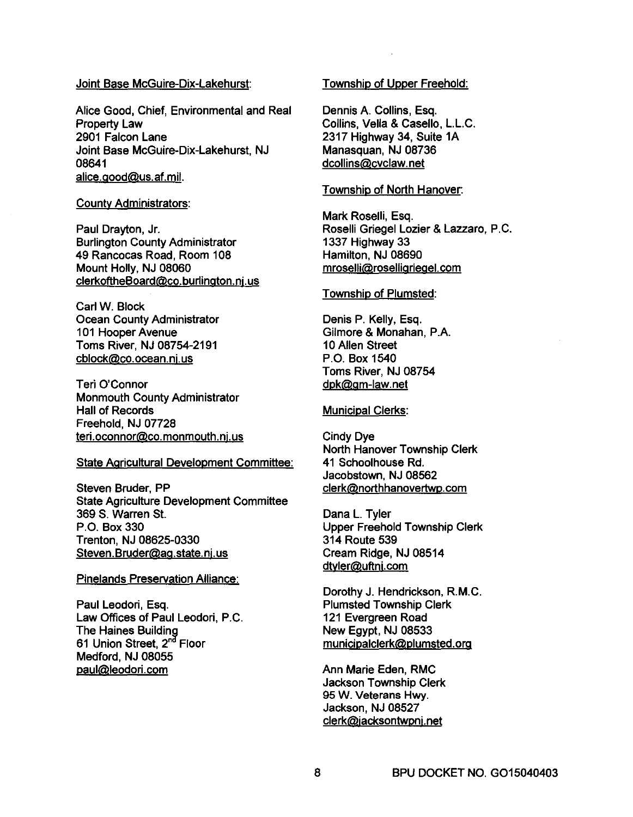### Joint Base McGuire-Oix-Lakehurst:

Alice Good, Chief, Environmental and Real Property Law 2901 Falcon Lane Joint Base McGuire-Dix-Lakehurst, NJ 08641 alice.good@us.af.mil.

#### County Administrators:

Paul Drayton, Jr. Burlington County Administrator 49 Rancocas Road, Room 108 Mount Holly, NJ 08060 clerkoftheBoard@co.buriington.nj.us

Carl W. Block Ocean County Administrator 101 Hooper Avenue Toms River, NJ 08754-2191 cblock@co.ocean.nj.us

Teri O'Connor Monmouth County Administrator Hall of Records Freehold, NJ 07728 teri.oconnor@co.monmouth.nj.us

#### State Agricultural Development Committee:

Steven Bruder, PP State Agriculture Development Committee 369 S. Warren SI. P.O. Box 330 Trenton, NJ 08625-0330 Steven. Bruder@ag.state.nj.us

#### Pinelands Preservation Alliance:

Paul Leodori, Esq. Law Offices of Paul Leodori, P.C. The Haines Building 61 Union Street, 2<sup>nd</sup> Floor Medford, NJ 08055 paul@leodori.com

# Township of Upper Freehold:

Dennis A. Collins, Esq. Collins, Vella & Casello, L.L.C. 2317 Highway 34, Suite 1A Manasquan, NJ 08736 dcollins@cvclaw.net

## Township of North Hanover:

Mark Roselli, Esq. Roselli Griegel Lozier & Lazzaro, P.C. 1337 Highway 33 Hamilton, NJ 08690 mroselli@roselligriegel.com

### Township of Plumsted:

Denis P. Kelly, Esq. Gilmore & Monahan, P.A. 10 Allen Street P.O. Box 1540 Toms River, NJ 08754 dpk@gm-Iaw.net

### Municipal Clerks:

Cindy Dye North Hanover Township Clerk 41 Schoolhouse Rd. Jacobstown, NJ 08562 clerk@northhanovertwp.com

Dana L. Tyler Upper Freehold Township Clerk 314 Route 539 Cream Ridge, NJ 08514 dtvler@uftnj.com

Dorothy J. Hendrickson, R.M.C. Plumsted Township Clerk 121 Evergreen Road New Egypt, NJ 08533 municipalclerk@plumsted.org

Ann Marie Eden, RMC Jackson Township Clerk 95 W. Veterans Hwy. Jackson, NJ 08527 clerk@jacksontwpnj.net